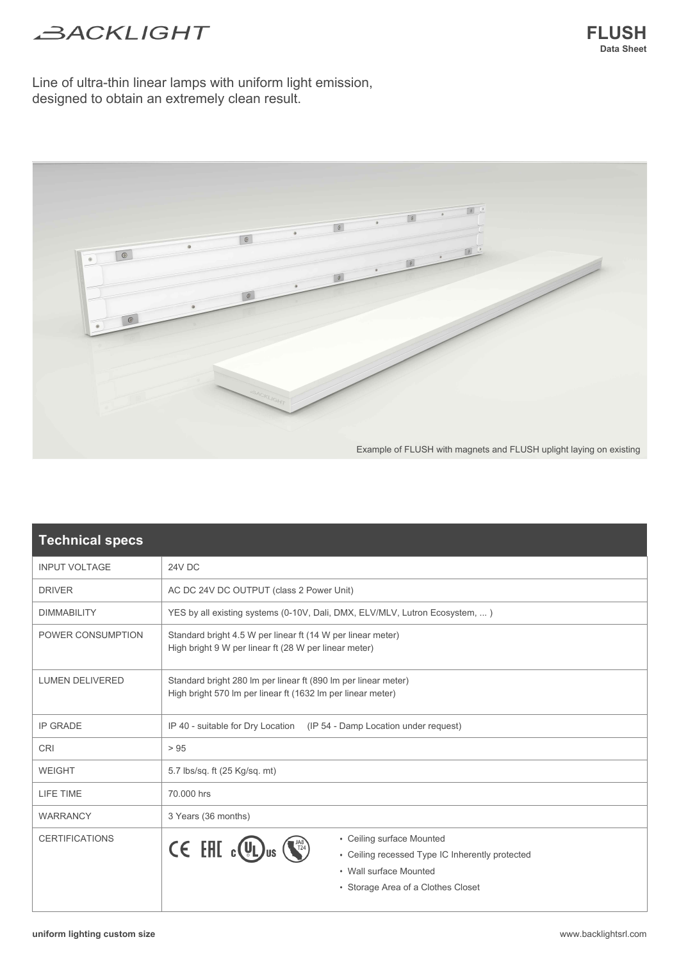## **BACKLIGHT**

Line of ultra-thin linear lamps with uniform light emission, designed to obtain an extremely clean result.



| <b>Technical specs</b> |                                                                                                                                                                                                             |  |  |  |  |
|------------------------|-------------------------------------------------------------------------------------------------------------------------------------------------------------------------------------------------------------|--|--|--|--|
| <b>INPUT VOLTAGE</b>   | 24V DC                                                                                                                                                                                                      |  |  |  |  |
| <b>DRIVER</b>          | AC DC 24V DC OUTPUT (class 2 Power Unit)                                                                                                                                                                    |  |  |  |  |
| <b>DIMMABILITY</b>     | YES by all existing systems (0-10V, Dali, DMX, ELV/MLV, Lutron Ecosystem, )                                                                                                                                 |  |  |  |  |
| POWER CONSUMPTION      | Standard bright 4.5 W per linear ft (14 W per linear meter)<br>High bright 9 W per linear ft (28 W per linear meter)                                                                                        |  |  |  |  |
| <b>LUMEN DELIVERED</b> | Standard bright 280 Im per linear ft (890 Im per linear meter)<br>High bright 570 Im per linear ft (1632 Im per linear meter)                                                                               |  |  |  |  |
| <b>IP GRADE</b>        | IP 40 - suitable for Dry Location (IP 54 - Damp Location under request)                                                                                                                                     |  |  |  |  |
| <b>CRI</b>             | > 95                                                                                                                                                                                                        |  |  |  |  |
| <b>WEIGHT</b>          | 5.7 lbs/sq. ft (25 Kg/sq. mt)                                                                                                                                                                               |  |  |  |  |
| LIFE TIME              | 70.000 hrs                                                                                                                                                                                                  |  |  |  |  |
| <b>WARRANCY</b>        | 3 Years (36 months)                                                                                                                                                                                         |  |  |  |  |
| <b>CERTIFICATIONS</b>  | • Ceiling surface Mounted<br>$\mathsf{CE}$ EHI $_{\mathsf{c}}(\mathsf{U})_{\mathsf{us}}$<br>• Ceiling recessed Type IC Inherently protected<br>. Wall surface Mounted<br>• Storage Area of a Clothes Closet |  |  |  |  |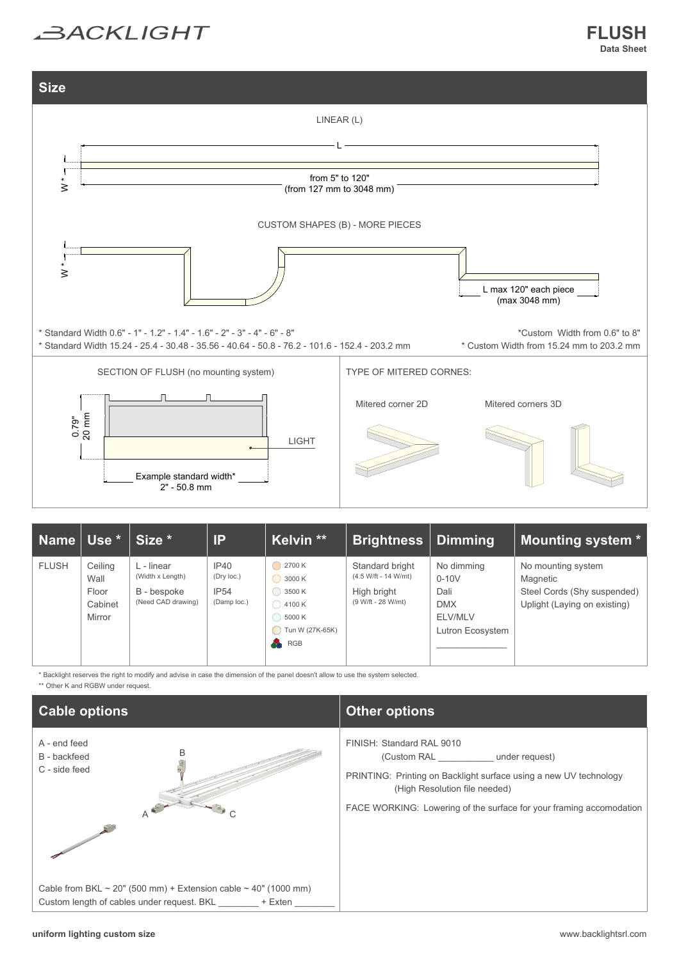



| Name   Use * \ |                                               | Size *                                                              | IP                                        | Kelvin **                                                                                                                                                 | <b>Brightness</b>                                                            | <b>Dimming</b>                                                             | <b>Mounting system *</b>                                                                      |
|----------------|-----------------------------------------------|---------------------------------------------------------------------|-------------------------------------------|-----------------------------------------------------------------------------------------------------------------------------------------------------------|------------------------------------------------------------------------------|----------------------------------------------------------------------------|-----------------------------------------------------------------------------------------------|
| <b>FLUSH</b>   | Ceiling<br>Wall<br>Floor<br>Cabinet<br>Mirror | L - linear<br>(Width x Length)<br>B - bespoke<br>(Need CAD drawing) | IP40<br>(Dry loc.)<br>IP54<br>(Damp loc.) | $\bigcirc$ 2700 K<br>$\bigcirc$ 3000 K<br>$\bigcirc$ 3500 K<br>$\bigcirc$ 4100 K<br>$()$ 5000 K<br>$\bigcirc$ Tun W (27K-65K)<br>$\frac{1}{\sqrt{2}}$ RGB | Standard bright<br>(4.5 W/ft - 14 W/mt)<br>High bright<br>(9 W/ft - 28 W/mt) | No dimming<br>$0-10V$<br>Dali<br><b>DMX</b><br>ELV/MLV<br>Lutron Ecosystem | No mounting system<br>Magnetic<br>Steel Cords (Shy suspended)<br>Uplight (Laying on existing) |

\* Backlight reserves the right to modify and advise in case the dimension of the panel doesn't allow to use the system selected. \*\* Other K and RGBW under request.

| <b>Cable options</b>                                                                                                  | <b>Other options</b>                                                                                                                                                                                                                 |  |  |  |
|-----------------------------------------------------------------------------------------------------------------------|--------------------------------------------------------------------------------------------------------------------------------------------------------------------------------------------------------------------------------------|--|--|--|
| A - end feed<br>B<br>B - backfeed<br>C - side feed                                                                    | FINISH: Standard RAL 9010<br>(Custom RAL under request)<br>PRINTING: Printing on Backlight surface using a new UV technology<br>(High Resolution file needed)<br>FACE WORKING: Lowering of the surface for your framing accomodation |  |  |  |
| Cable from BKL ~ 20" (500 mm) + Extension cable ~ 40" (1000 mm)<br>Custom length of cables under request. BKL + Exten |                                                                                                                                                                                                                                      |  |  |  |